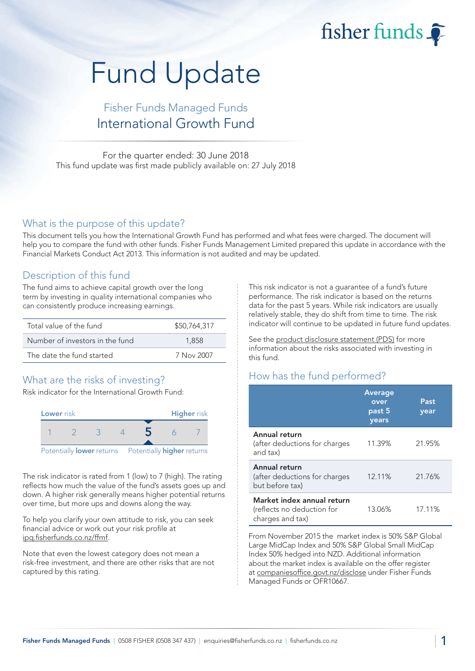fisher funds

# Fund Update

# Fisher Funds Managed Funds International Growth Fund

For the quarter ended: 30 June 2018 This fund update was first made publicly available on: 27 July 2018

#### What is the purpose of this update?

This document tells you how the International Growth Fund has performed and what fees were charged. The document will help you to compare the fund with other funds. Fisher Funds Management Limited prepared this update in accordance with the Financial Markets Conduct Act 2013. This information is not audited and may be updated.

## Description of this fund

The fund aims to achieve capital growth over the long term by investing in quality international companies who can consistently produce increasing earnings.

| Total value of the fund         | \$50,764,317 |
|---------------------------------|--------------|
| Number of investors in the fund | 1.858        |
| The date the fund started       | 7 Nov 2007   |

## What are the risks of investing?

Risk indicator for the International Growth Fund:



The risk indicator is rated from 1 (low) to 7 (high). The rating reflects how much the value of the fund's assets goes up and down. A higher risk generally means higher potential returns over time, but more ups and downs along the way.

To help you clarify your own attitude to risk, you can seek financial advice or work out your risk profile at [ipq.fisherfunds.co.nz/ffmf.](https://ipq.fisherfunds.co.nz/ffmf)

Note that even the lowest category does not mean a risk-free investment, and there are other risks that are not captured by this rating.

This risk indicator is not a guarantee of a fund's future performance. The risk indicator is based on the returns data for the past 5 years. While risk indicators are usually relatively stable, they do shift from time to time. The risk indicator will continue to be updated in future fund updates.

See the [product disclosure statement \(PDS\)](https://fisherfunds.co.nz/assets/PDS/Fisher-Funds-Managed-Funds-PDS.pdf) for more information about the risks associated with investing in this fund.

## How has the fund performed?

|                                                                              | <b>Average</b><br>over<br>past 5<br>years | Past<br>year |
|------------------------------------------------------------------------------|-------------------------------------------|--------------|
| Annual return<br>(after deductions for charges<br>and tax)                   | 11.39%                                    | 21.95%       |
| Annual return<br>(after deductions for charges<br>but before tax)            | 12.11%                                    | 21.76%       |
| Market index annual return<br>(reflects no deduction for<br>charges and tax) | 13.06%                                    | 17.11%       |

From November 2015 the market index is 50% S&P Global Large MidCap Index and 50% S&P Global Small MidCap Index 50% hedged into NZD. Additional information about the market index is available on the offer register at [companiesoffice.govt.nz/disclose](http://companiesoffice.govt.nz/disclose) under Fisher Funds Managed Funds or OFR10667.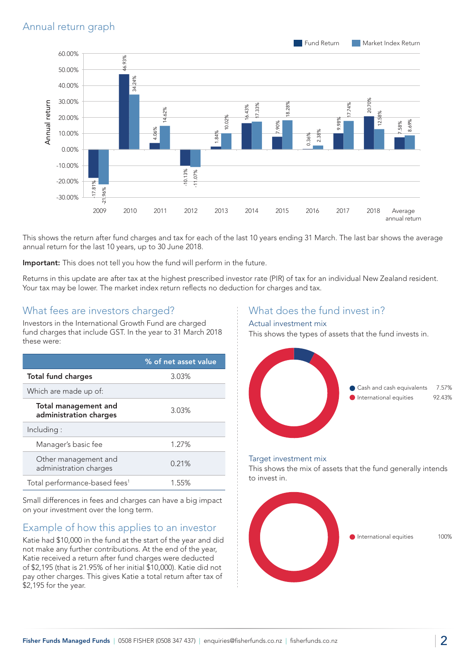

This shows the return after fund charges and tax for each of the last 10 years ending 31 March. The last bar shows the average annual return for the last 10 years, up to 30 June 2018.

Important: This does not tell you how the fund will perform in the future.

Returns in this update are after tax at the highest prescribed investor rate (PIR) of tax for an individual New Zealand resident. Your tax may be lower. The market index return reflects no deduction for charges and tax.

#### What fees are investors charged?

Investors in the International Growth Fund are charged fund charges that include GST. In the year to 31 March 2018 these were:

|                                                | % of net asset value |
|------------------------------------------------|----------------------|
| <b>Total fund charges</b>                      | 3.03%                |
| Which are made up of:                          |                      |
| Total management and<br>administration charges | 3.03%                |
| Including:                                     |                      |
| Manager's basic fee                            | 1.27%                |
| Other management and<br>administration charges | 0.21%                |
| Total performance-based fees <sup>1</sup>      | 1.55%                |

Small differences in fees and charges can have a big impact on your investment over the long term.

#### Example of how this applies to an investor

Katie had \$10,000 in the fund at the start of the year and did not make any further contributions. At the end of the year, Katie received a return after fund charges were deducted of \$2,195 (that is 21.95% of her initial \$10,000). Katie did not pay other charges. This gives Katie a total return after tax of \$2,195 for the year.

### What does the fund invest in?

#### Actual investment mix

This shows the types of assets that the fund invests in.



#### Target investment mix

This shows the mix of assets that the fund generally intends to invest in.